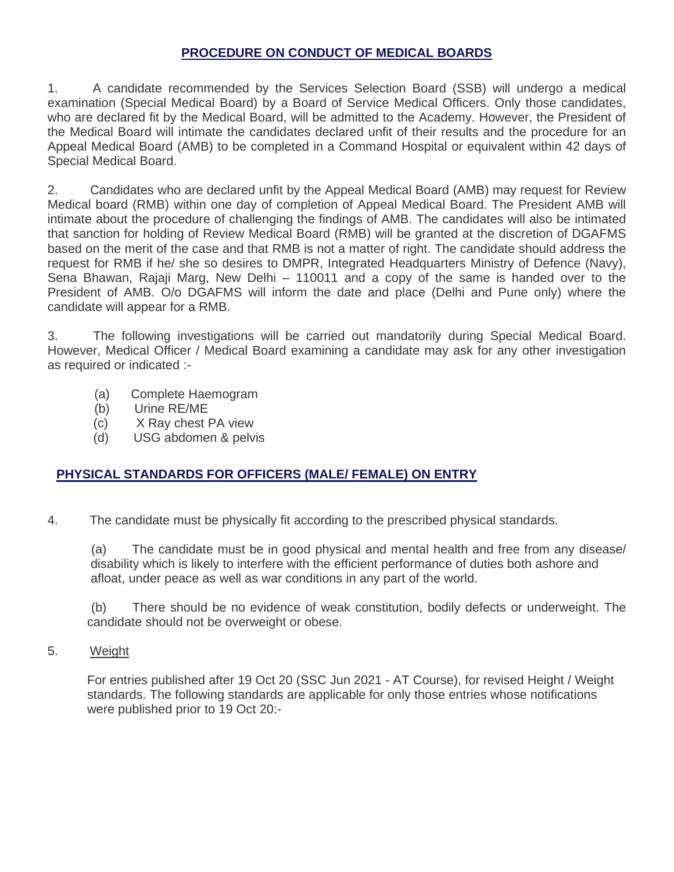## **PROCEDURE ON CONDUCT OF MEDICAL BOARDS**

1. A candidate recommended by the Services Selection Board (SSB) will undergo a medical examination (Special Medical Board) by a Board of Service Medical Officers. Only those candidates, who are declared fit by the Medical Board, will be admitted to the Academy. However, the President of the Medical Board will intimate the candidates declared unfit of their results and the procedure for an Appeal Medical Board (AMB) to be completed in a Command Hospital or equivalent within 42 days of Special Medical Board.

2. Candidates who are declared unfit by the Appeal Medical Board (AMB) may request for Review Medical board (RMB) within one day of completion of Appeal Medical Board. The President AMB will intimate about the procedure of challenging the findings of AMB. The candidates will also be intimated that sanction for holding of Review Medical Board (RMB) will be granted at the discretion of DGAFMS based on the merit of the case and that RMB is not a matter of right. The candidate should address the request for RMB if he/ she so desires to DMPR, Integrated Headquarters Ministry of Defence (Navy), Sena Bhawan, Rajaji Marg, New Delhi – 110011 and a copy of the same is handed over to the President of AMB. O/o DGAFMS will inform the date and place (Delhi and Pune only) where the candidate will appear for a RMB.

3. The following investigations will be carried out mandatorily during Special Medical Board. However, Medical Officer / Medical Board examining a candidate may ask for any other investigation as required or indicated :-

- (a) Complete Haemogram
- (b) Urine RE/ME
- (c) X Ray chest PA view
- (d) USG abdomen & pelvis

## **PHYSICAL STANDARDS FOR OFFICERS (MALE/ FEMALE) ON ENTRY**

4. The candidate must be physically fit according to the prescribed physical standards.

(a) The candidate must be in good physical and mental health and free from any disease/ disability which is likely to interfere with the efficient performance of duties both ashore and afloat, under peace as well as war conditions in any part of the world.

 (b) There should be no evidence of weak constitution, bodily defects or underweight. The candidate should not be overweight or obese.

5. Weight

For entries published after 19 Oct 20 (SSC Jun 2021 - AT Course), for revised Height / Weight standards. The following standards are applicable for only those entries whose notifications were published prior to 19 Oct 20:-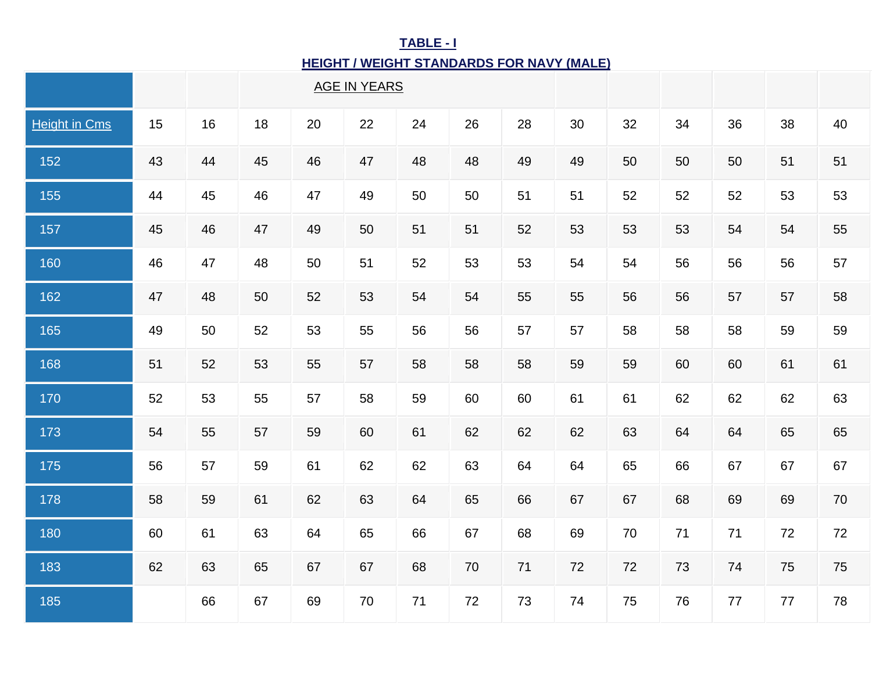# **TABLE - I HEIGHT / WEIGHT STANDARDS FOR NAVY (MALE)**

|                      |    |    |    |    | <b>AGE IN YEARS</b> |    |        |    |    |        |    |    |    |    |
|----------------------|----|----|----|----|---------------------|----|--------|----|----|--------|----|----|----|----|
| <b>Height in Cms</b> | 15 | 16 | 18 | 20 | 22                  | 24 | 26     | 28 | 30 | 32     | 34 | 36 | 38 | 40 |
| 152                  | 43 | 44 | 45 | 46 | 47                  | 48 | 48     | 49 | 49 | 50     | 50 | 50 | 51 | 51 |
| 155                  | 44 | 45 | 46 | 47 | 49                  | 50 | 50     | 51 | 51 | 52     | 52 | 52 | 53 | 53 |
| 157                  | 45 | 46 | 47 | 49 | 50                  | 51 | 51     | 52 | 53 | 53     | 53 | 54 | 54 | 55 |
| 160                  | 46 | 47 | 48 | 50 | 51                  | 52 | 53     | 53 | 54 | 54     | 56 | 56 | 56 | 57 |
| 162                  | 47 | 48 | 50 | 52 | 53                  | 54 | 54     | 55 | 55 | 56     | 56 | 57 | 57 | 58 |
| 165                  | 49 | 50 | 52 | 53 | 55                  | 56 | 56     | 57 | 57 | 58     | 58 | 58 | 59 | 59 |
| 168                  | 51 | 52 | 53 | 55 | 57                  | 58 | 58     | 58 | 59 | 59     | 60 | 60 | 61 | 61 |
| 170                  | 52 | 53 | 55 | 57 | 58                  | 59 | 60     | 60 | 61 | 61     | 62 | 62 | 62 | 63 |
| 173                  | 54 | 55 | 57 | 59 | 60                  | 61 | 62     | 62 | 62 | 63     | 64 | 64 | 65 | 65 |
| 175                  | 56 | 57 | 59 | 61 | 62                  | 62 | 63     | 64 | 64 | 65     | 66 | 67 | 67 | 67 |
| 178                  | 58 | 59 | 61 | 62 | 63                  | 64 | 65     | 66 | 67 | 67     | 68 | 69 | 69 | 70 |
| 180                  | 60 | 61 | 63 | 64 | 65                  | 66 | 67     | 68 | 69 | $70\,$ | 71 | 71 | 72 | 72 |
| 183                  | 62 | 63 | 65 | 67 | 67                  | 68 | $70\,$ | 71 | 72 | $72\,$ | 73 | 74 | 75 | 75 |
| 185                  |    | 66 | 67 | 69 | 70                  | 71 | 72     | 73 | 74 | 75     | 76 | 77 | 77 | 78 |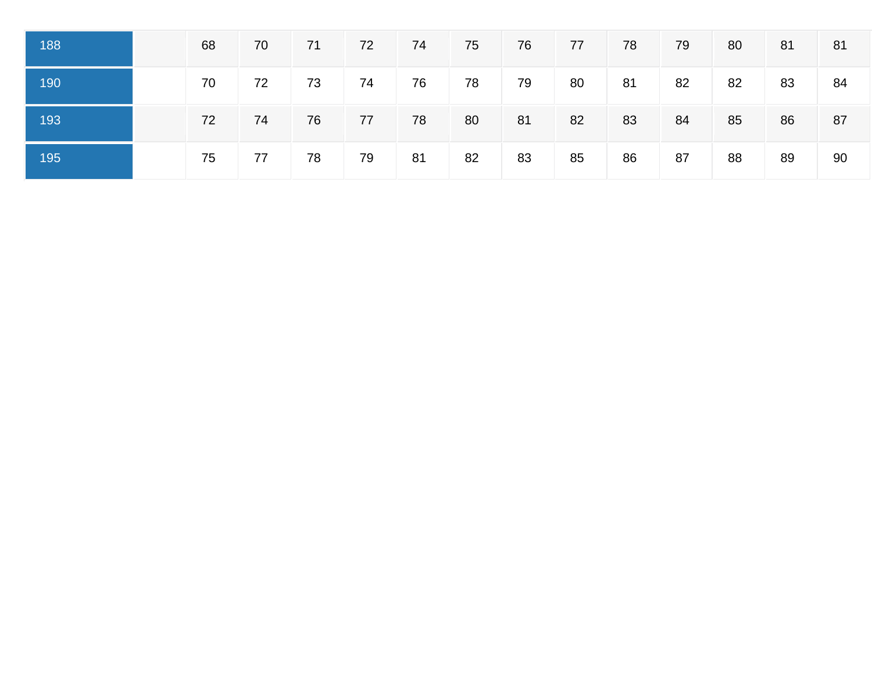| 188 | 68 | 70 | 71 | 72 | 74 | 75/             | 76 | 77 | 78 | 79 | 80 | 81 | 81 |
|-----|----|----|----|----|----|-----------------|----|----|----|----|----|----|----|
| 190 | 70 | 72 | 73 | 74 | 76 | 78              | 79 | 80 | 81 | 82 | 82 | 83 | 84 |
| 193 | 72 | 74 | 76 | 77 | 78 | 80 <sub>1</sub> | 81 | 82 | 83 | 84 | 85 | 86 | 87 |
| 195 | 75 | 77 | 78 | 79 | 81 | 82              | 83 | 85 | 86 | 87 | 88 | 89 | 90 |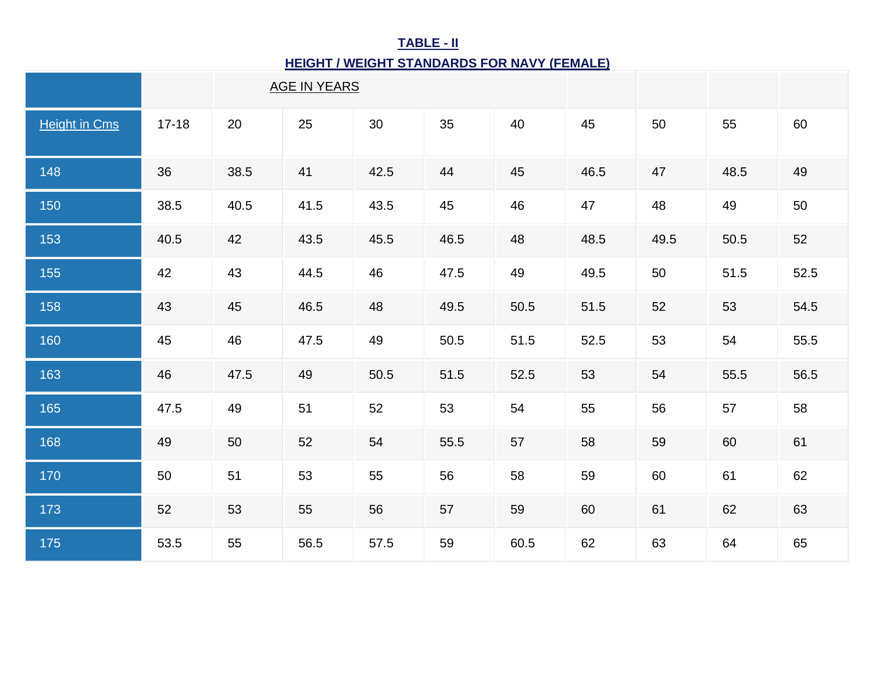# **TABLE - II**

## **HEIGHT / WEIGHT STANDARDS FOR NAVY (FEMALE)**

|                      |           | <b>AGE IN YEARS</b> |      |      |      |      |      |      |      |      |
|----------------------|-----------|---------------------|------|------|------|------|------|------|------|------|
| <b>Height in Cms</b> | $17 - 18$ | 20                  | 25   | 30   | 35   | 40   | 45   | 50   | 55   | 60   |
| 148                  | 36        | 38.5                | 41   | 42.5 | 44   | 45   | 46.5 | 47   | 48.5 | 49   |
| 150                  | 38.5      | 40.5                | 41.5 | 43.5 | 45   | 46   | 47   | 48   | 49   | 50   |
| 153                  | 40.5      | 42                  | 43.5 | 45.5 | 46.5 | 48   | 48.5 | 49.5 | 50.5 | 52   |
| 155                  | 42        | 43                  | 44.5 | 46   | 47.5 | 49   | 49.5 | 50   | 51.5 | 52.5 |
| 158                  | 43        | 45                  | 46.5 | 48   | 49.5 | 50.5 | 51.5 | 52   | 53   | 54.5 |
| 160                  | 45        | 46                  | 47.5 | 49   | 50.5 | 51.5 | 52.5 | 53   | 54   | 55.5 |
| 163                  | 46        | 47.5                | 49   | 50.5 | 51.5 | 52.5 | 53   | 54   | 55.5 | 56.5 |
| 165                  | 47.5      | 49                  | 51   | 52   | 53   | 54   | 55   | 56   | 57   | 58   |
| 168                  | 49        | 50                  | 52   | 54   | 55.5 | 57   | 58   | 59   | 60   | 61   |
| 170                  | 50        | 51                  | 53   | 55   | 56   | 58   | 59   | 60   | 61   | 62   |
| 173                  | 52        | 53                  | 55   | 56   | 57   | 59   | 60   | 61   | 62   | 63   |
| 175                  | 53.5      | 55                  | 56.5 | 57.5 | 59   | 60.5 | 62   | 63   | 64   | 65   |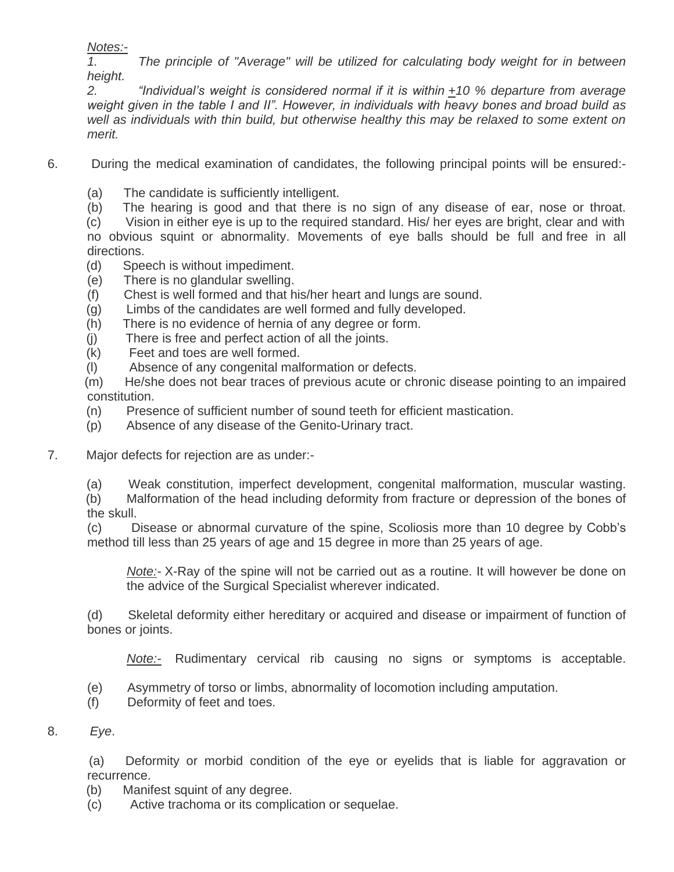*Notes:-*

*1. The principle of "Average" will be utilized for calculating body weight for in between height.*

*2. "Individual's weight is considered normal if it is within +10 % departure from average weight given in the table I and II". However, in individuals with heavy bones and broad build as well as individuals with thin build, but otherwise healthy this may be relaxed to some extent on merit.*

- 6. During the medical examination of candidates, the following principal points will be ensured:-
	- (a) The candidate is sufficiently intelligent.
	- (b) The hearing is good and that there is no sign of any disease of ear, nose or throat.

 (c) Vision in either eye is up to the required standard. His/ her eyes are bright, clear and with no obvious squint or abnormality. Movements of eye balls should be full and free in all directions.

- (d) Speech is without impediment.
- (e) There is no glandular swelling.
- (f) Chest is well formed and that his/her heart and lungs are sound.
- (g) Limbs of the candidates are well formed and fully developed.
- (h) There is no evidence of hernia of any degree or form.
- (j) There is free and perfect action of all the joints.
- (k) Feet and toes are well formed.
- (l) Absence of any congenital malformation or defects.

(m) He/she does not bear traces of previous acute or chronic disease pointing to an impaired constitution.

- (n) Presence of sufficient number of sound teeth for efficient mastication.
- (p) Absence of any disease of the Genito-Urinary tract.
- 7. Major defects for rejection are as under:-
	- (a) Weak constitution, imperfect development, congenital malformation, muscular wasting.

(b) Malformation of the head including deformity from fracture or depression of the bones of the skull.

(c) Disease or abnormal curvature of the spine, Scoliosis more than 10 degree by Cobb's method till less than 25 years of age and 15 degree in more than 25 years of age.

*Note:-* X-Ray of the spine will not be carried out as a routine. It will however be done on the advice of the Surgical Specialist wherever indicated.

(d) Skeletal deformity either hereditary or acquired and disease or impairment of function of bones or joints.

*Note:-* Rudimentary cervical rib causing no signs or symptoms is acceptable.

- (e) Asymmetry of torso or limbs, abnormality of locomotion including amputation.
- (f) Deformity of feet and toes.

## 8. *Eye*.

(a) Deformity or morbid condition of the eye or eyelids that is liable for aggravation or recurrence.

- (b) Manifest squint of any degree.
- (c) Active trachoma or its complication or sequelae.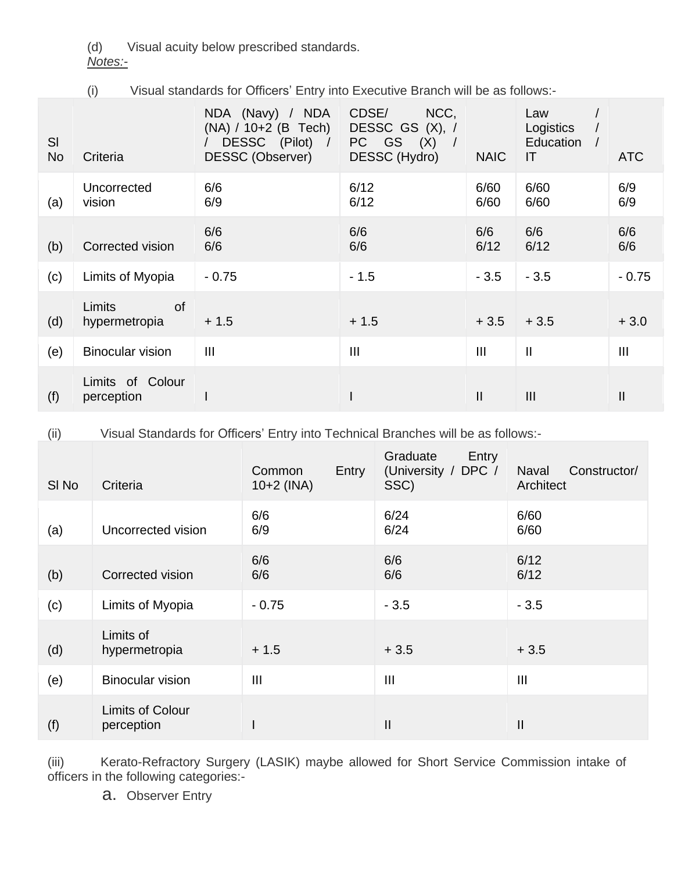(d) Visual acuity below prescribed standards.

*Notes:-*

(i) Visual standards for Officers' Entry into Executive Branch will be as follows:-

| SI<br><b>No</b> | Criteria                                    | NDA (Navy) / NDA<br>(NA) / 10+2 (B Tech)<br>DESSC (Pilot)<br>$\sqrt{ }$<br><b>DESSC (Observer)</b> | CDSE/<br>NCC,<br><b>DESSC GS</b><br>(X), 1<br>GS<br>PC.<br>(X)<br>DESSC (Hydro) | <b>NAIC</b>    | Law<br>Logistics<br>Education<br>IT | <b>ATC</b>     |
|-----------------|---------------------------------------------|----------------------------------------------------------------------------------------------------|---------------------------------------------------------------------------------|----------------|-------------------------------------|----------------|
| (a)             | Uncorrected<br>vision                       | 6/6<br>6/9                                                                                         | 6/12<br>6/12                                                                    | 6/60<br>6/60   | 6/60<br>6/60                        | 6/9<br>6/9     |
| (b)             | Corrected vision                            | 6/6<br>6/6                                                                                         | 6/6<br>6/6                                                                      | 6/6<br>6/12    | 6/6<br>6/12                         | 6/6<br>6/6     |
| (c)             | Limits of Myopia                            | $-0.75$                                                                                            | $-1.5$                                                                          | $-3.5$         | $-3.5$                              | $-0.75$        |
| (d)             | <b>Limits</b><br><b>of</b><br>hypermetropia | $+1.5$                                                                                             | $+1.5$                                                                          | $+3.5$         | $+3.5$                              | $+3.0$         |
| (e)             | <b>Binocular vision</b>                     | $\mathbf{III}$                                                                                     | III                                                                             | $\mathbf{III}$ | $\mathbf{I}$                        | $\mathbf{III}$ |
| (f)             | Limits of Colour<br>perception              |                                                                                                    |                                                                                 | Ш              | III                                 | $\mathsf{II}$  |

(ii) Visual Standards for Officers' Entry into Technical Branches will be as follows:-

| SI <sub>No</sub> | Criteria                              | Common<br>$10+2$ (INA) | Graduate<br>Entry<br>DPC /<br>Entry<br>(University /<br>SSC) | Constructor/<br>Naval<br>Architect |
|------------------|---------------------------------------|------------------------|--------------------------------------------------------------|------------------------------------|
| (a)              | Uncorrected vision                    | 6/6<br>6/9             | 6/24<br>6/24                                                 | 6/60<br>6/60                       |
| (b)              | Corrected vision                      | 6/6<br>6/6             | 6/6<br>6/6                                                   | 6/12<br>6/12                       |
| (c)              | Limits of Myopia                      | $-0.75$                | $-3.5$                                                       | $-3.5$                             |
| (d)              | Limits of<br>hypermetropia            | $+1.5$                 | $+3.5$                                                       | $+3.5$                             |
| (e)              | <b>Binocular vision</b>               | $\mathbf{III}$         | $\mathbf{III}$                                               | $\mathbf{III}$                     |
| (f)              | <b>Limits of Colour</b><br>perception |                        | $\mathsf{II}$                                                | Ш                                  |

(iii) Kerato-Refractory Surgery (LASIK) maybe allowed for Short Service Commission intake of officers in the following categories:-

a. Observer Entry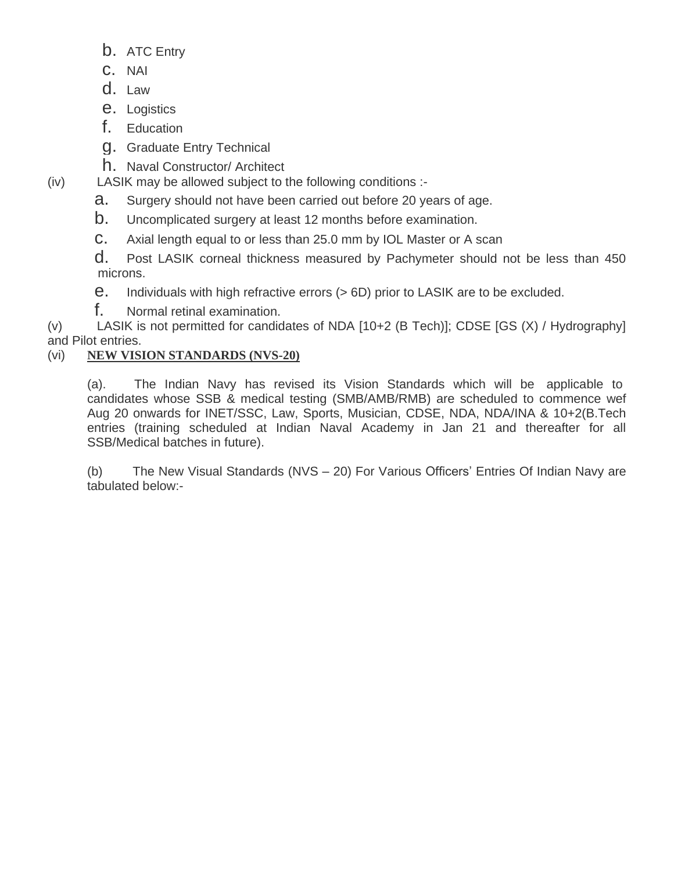- b. ATC Entry
- c. NAI
- d. Law
- e. Logistics
- f. Education
- g. Graduate Entry Technical
- h. Naval Constructor/ Architect
- (iv) LASIK may be allowed subject to the following conditions :
	- a. Surgery should not have been carried out before 20 years of age.
	- b. Uncomplicated surgery at least 12 months before examination.
	- c. Axial length equal to or less than 25.0 mm by IOL Master or A scan
	- d. Post LASIK corneal thickness measured by Pachymeter should not be less than 450 microns.
	- e. Individuals with high refractive errors (> 6D) prior to LASIK are to be excluded.
	- f. Normal retinal examination.

(v) LASIK is not permitted for candidates of NDA [10+2 (B Tech)]; CDSE [GS (X) / Hydrography] and Pilot entries.

## (vi) **NEW VISION STANDARDS (NVS-20)**

(a). The Indian Navy has revised its Vision Standards which will be applicable to candidates whose SSB & medical testing (SMB/AMB/RMB) are scheduled to commence wef Aug 20 onwards for INET/SSC, Law, Sports, Musician, CDSE, NDA, NDA/INA & 10+2(B.Tech entries (training scheduled at Indian Naval Academy in Jan 21 and thereafter for all SSB/Medical batches in future).

(b) The New Visual Standards (NVS – 20) For Various Officers' Entries Of Indian Navy are tabulated below:-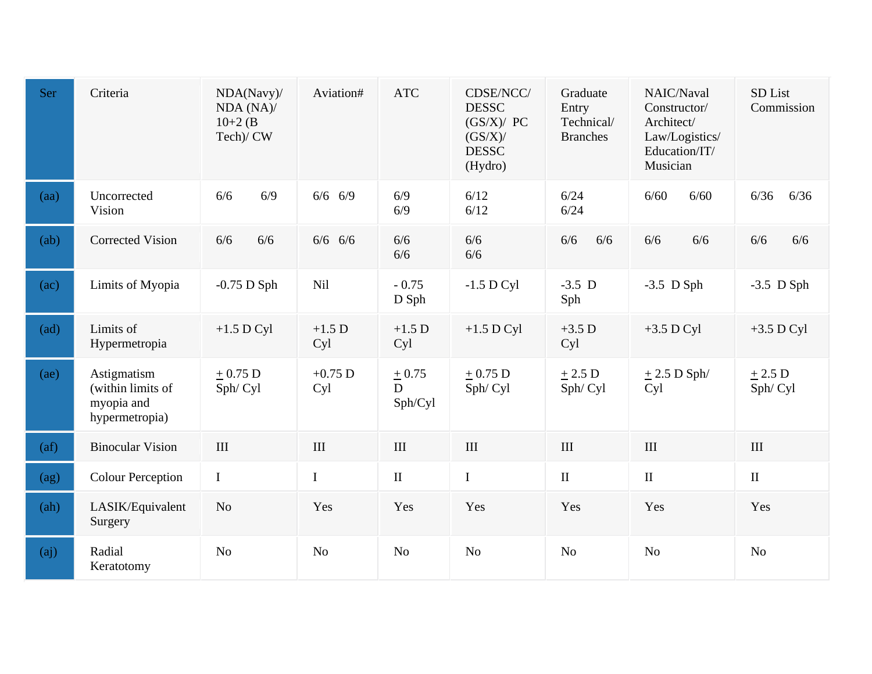| Ser               | Criteria                                                         | NDA(Navy)/<br>NDA (NA)/<br>$10+2$ (B)<br>Tech)/ CW | Aviation#          | <b>ATC</b>              | CDSE/NCC/<br><b>DESSC</b><br>(GS/X)/ PC<br>(GS/X)<br><b>DESSC</b><br>(Hydro) | Graduate<br>Entry<br>Technical/<br><b>Branches</b> | NAIC/Naval<br>Constructor/<br>Architect/<br>Law/Logistics/<br>Education/IT/<br>Musician | SD List<br>Commission |
|-------------------|------------------------------------------------------------------|----------------------------------------------------|--------------------|-------------------------|------------------------------------------------------------------------------|----------------------------------------------------|-----------------------------------------------------------------------------------------|-----------------------|
| (aa)              | Uncorrected<br>Vision                                            | 6/9<br>6/6                                         | $6/6$ 6/9          | 6/9<br>6/9              | 6/12<br>6/12                                                                 | 6/24<br>6/24                                       | 6/60<br>6/60                                                                            | 6/36<br>6/36          |
| (ab)              | <b>Corrected Vision</b>                                          | 6/6<br>6/6                                         | $6/6$ 6/6          | 6/6<br>6/6              | 6/6<br>6/6                                                                   | 6/6<br>6/6                                         | 6/6<br>6/6                                                                              | 6/6<br>6/6            |
| (ac)              | Limits of Myopia                                                 | $-0.75$ D Sph                                      | <b>Nil</b>         | $-0.75$<br>D Sph        | $-1.5$ D Cyl                                                                 | $-3.5$ D<br>Sph                                    | $-3.5$ D Sph                                                                            | $-3.5$ D Sph          |
| (ad)              | Limits of<br>Hypermetropia                                       | $+1.5$ D Cyl                                       | $+1.5$ D<br>Cyl    | $+1.5$ D<br>Cyl         | $+1.5$ D Cyl                                                                 | $+3.5$ D<br>Cyl                                    | $+3.5$ D Cyl                                                                            | $+3.5$ D Cyl          |
| (ae)              | Astigmatism<br>(within limits of<br>myopia and<br>hypermetropia) | $+0.75 D$<br>Sph/Cyl                               | $+0.75$ D<br>Cyl   | $+0.75$<br>D<br>Sph/Cyl | $+0.75$ D<br>Sph/Cyl                                                         | $+2.5$ D<br>Sph/Cyl                                | $\pm$ 2.5 D Sph/<br>Cyl                                                                 | $+2.5$ D<br>Sph/Cyl   |
| (af)              | <b>Binocular Vision</b>                                          | $\rm III$                                          | $\mathop{\rm III}$ | $\rm III$               | $\rm III$                                                                    | III                                                | $\rm III$                                                                               | $\rm III$             |
| (ag)              | <b>Colour Perception</b>                                         | $\bf I$                                            | $\bf I$            | $\rm II$                | $\bf I$                                                                      | $\rm II$                                           | $\rm II$                                                                                | $\rm II$              |
| (ah)              | LASIK/Equivalent<br>Surgery                                      | N <sub>o</sub>                                     | Yes                | Yes                     | Yes                                                                          | Yes                                                | Yes                                                                                     | Yes                   |
| (a <sub>j</sub> ) | Radial<br>Keratotomy                                             | N <sub>o</sub>                                     | N <sub>o</sub>     | <b>No</b>               | N <sub>o</sub>                                                               | N <sub>o</sub>                                     | N <sub>o</sub>                                                                          | N <sub>o</sub>        |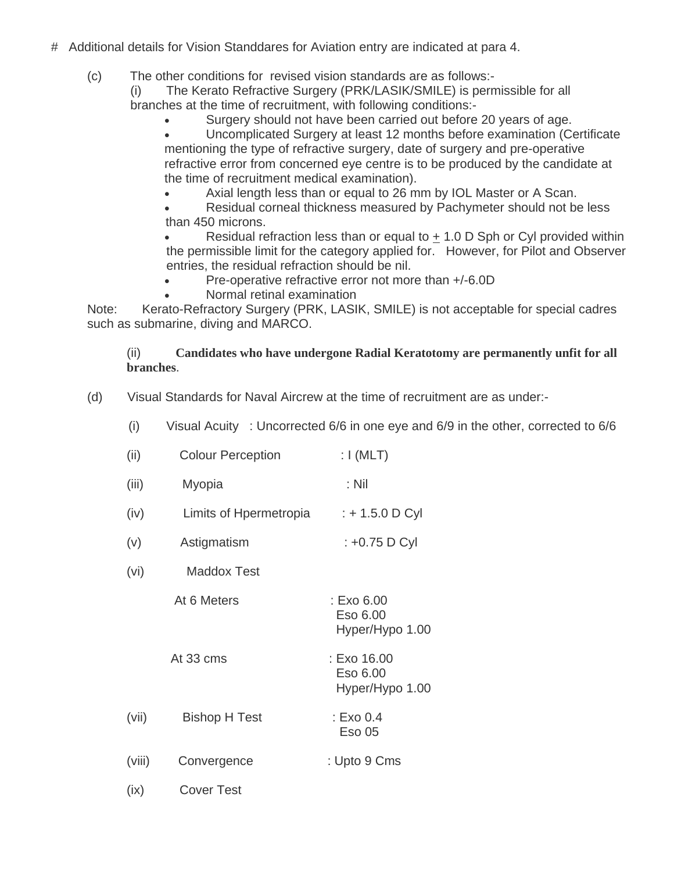- # Additional details for Vision Standdares for Aviation entry are indicated at para 4.
	- (c) The other conditions for revised vision standards are as follows:-

(i) The Kerato Refractive Surgery (PRK/LASIK/SMILE) is permissible for all branches at the time of recruitment, with following conditions:-

• Surgery should not have been carried out before 20 years of age.

• Uncomplicated Surgery at least 12 months before examination (Certificate mentioning the type of refractive surgery, date of surgery and pre-operative refractive error from concerned eye centre is to be produced by the candidate at the time of recruitment medical examination).

• Axial length less than or equal to 26 mm by IOL Master or A Scan.

• Residual corneal thickness measured by Pachymeter should not be less than 450 microns.

Residual refraction less than or equal to  $+1.0$  D Sph or Cyl provided within the permissible limit for the category applied for. However, for Pilot and Observer entries, the residual refraction should be nil.

- Pre-operative refractive error not more than  $+/-6.0D$
- Normal retinal examination

Note: Kerato-Refractory Surgery (PRK, LASIK, SMILE) is not acceptable for special cadres such as submarine, diving and MARCO.

### (ii) **Candidates who have undergone Radial Keratotomy are permanently unfit for all branches**.

(d) Visual Standards for Naval Aircrew at the time of recruitment are as under:-

(i) Visual Acuity : Uncorrected 6/6 in one eye and 6/9 in the other, corrected to 6/6

| (ii)   | <b>Colour Perception</b> | : $I(MLT)$                                 |
|--------|--------------------------|--------------------------------------------|
| (iii)  | Myopia                   | $:$ Nil                                    |
| (iv)   | Limits of Hpermetropia   | : + 1.5.0 D Cyl                            |
| (v)    | Astigmatism              | : +0.75 D Cyl                              |
| (vi)   | <b>Maddox Test</b>       |                                            |
|        | At 6 Meters              | : Exo 6.00<br>Eso 6.00<br>Hyper/Hypo 1.00  |
|        | At 33 cms                | : Exo 16.00<br>Eso 6.00<br>Hyper/Hypo 1.00 |
| (vii)  | <b>Bishop H Test</b>     | : Exo 0.4<br><b>Eso 05</b>                 |
| (viii) | Convergence              | : Upto 9 Cms                               |
| (ix)   | <b>Cover Test</b>        |                                            |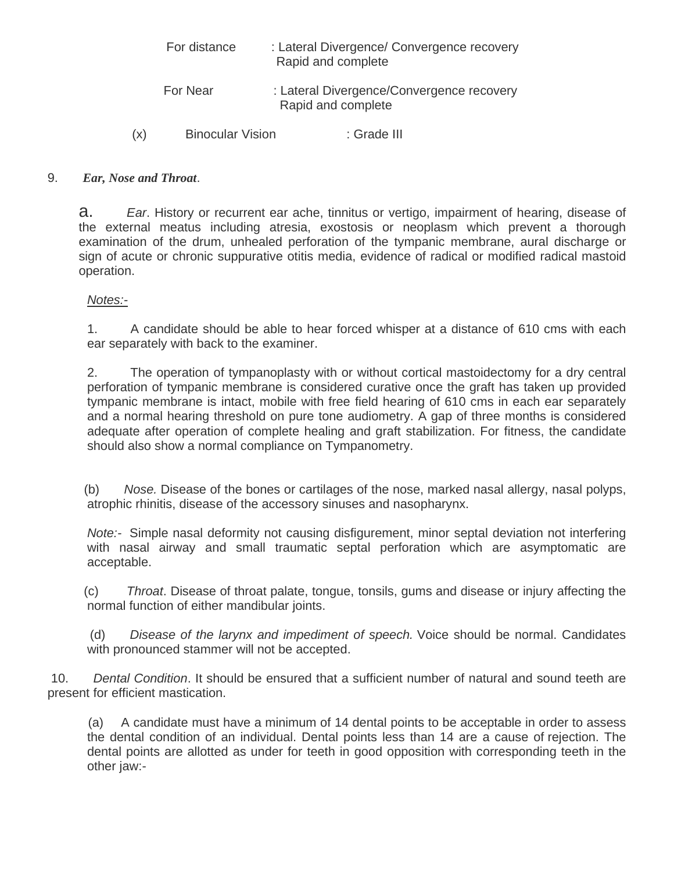|     | For distance            | : Lateral Divergence/ Convergence recovery<br>Rapid and complete |
|-----|-------------------------|------------------------------------------------------------------|
|     | For Near                | : Lateral Divergence/Convergence recovery<br>Rapid and complete  |
| (x) | <b>Binocular Vision</b> | : Grade III                                                      |

### 9. *Ear, Nose and Throat*.

a. *Ear*. History or recurrent ear ache, tinnitus or vertigo, impairment of hearing, disease of the external meatus including atresia, exostosis or neoplasm which prevent a thorough examination of the drum, unhealed perforation of the tympanic membrane, aural discharge or sign of acute or chronic suppurative otitis media, evidence of radical or modified radical mastoid operation.

#### *Notes:-*

1. A candidate should be able to hear forced whisper at a distance of 610 cms with each ear separately with back to the examiner.

2. The operation of tympanoplasty with or without cortical mastoidectomy for a dry central perforation of tympanic membrane is considered curative once the graft has taken up provided tympanic membrane is intact, mobile with free field hearing of 610 cms in each ear separately and a normal hearing threshold on pure tone audiometry. A gap of three months is considered adequate after operation of complete healing and graft stabilization. For fitness, the candidate should also show a normal compliance on Tympanometry.

(b) *Nose.* Disease of the bones or cartilages of the nose, marked nasal allergy, nasal polyps, atrophic rhinitis, disease of the accessory sinuses and nasopharynx.

*Note:-* Simple nasal deformity not causing disfigurement, minor septal deviation not interfering with nasal airway and small traumatic septal perforation which are asymptomatic are acceptable.

(c) *Throat*. Disease of throat palate, tongue, tonsils, gums and disease or injury affecting the normal function of either mandibular joints.

(d) *Disease of the larynx and impediment of speech.* Voice should be normal. Candidates with pronounced stammer will not be accepted.

10. *Dental Condition*. It should be ensured that a sufficient number of natural and sound teeth are present for efficient mastication.

 (a) A candidate must have a minimum of 14 dental points to be acceptable in order to assess the dental condition of an individual. Dental points less than 14 are a cause of rejection. The dental points are allotted as under for teeth in good opposition with corresponding teeth in the other jaw:-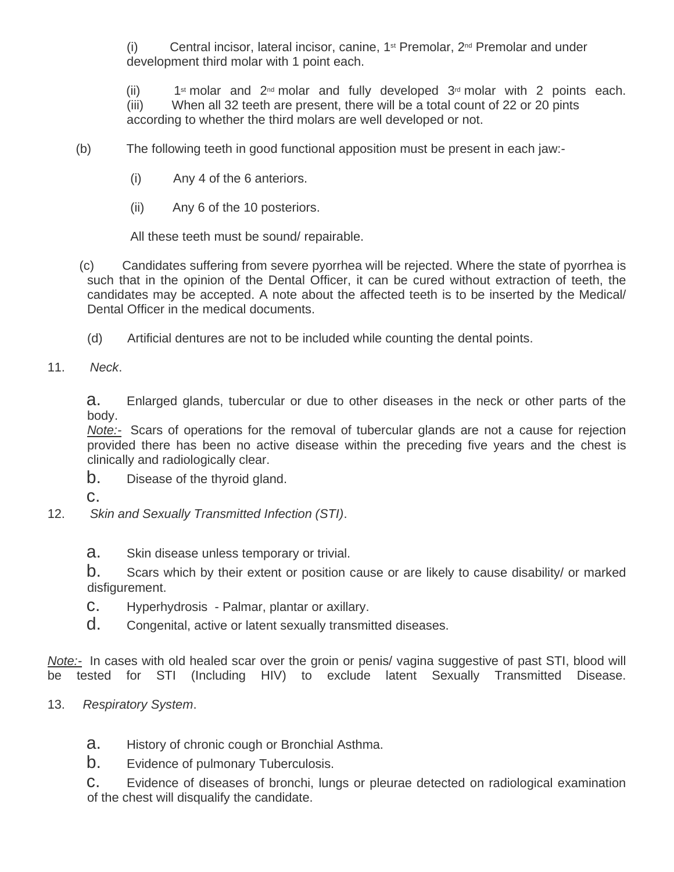(i) Central incisor, lateral incisor, canine,  $1^{st}$  Premolar,  $2^{nd}$  Premolar and under development third molar with 1 point each.

(ii)  $1$ <sup>st</sup> molar and  $2^{nd}$  molar and fully developed  $3^{rd}$  molar with 2 points each. (iii) When all 32 teeth are present, there will be a total count of 22 or 20 pints according to whether the third molars are well developed or not.

- (b) The following teeth in good functional apposition must be present in each jaw:-
	- (i) Any 4 of the 6 anteriors.
	- (ii) Any 6 of the 10 posteriors.

All these teeth must be sound/ repairable.

- (c) Candidates suffering from severe pyorrhea will be rejected. Where the state of pyorrhea is such that in the opinion of the Dental Officer, it can be cured without extraction of teeth, the candidates may be accepted. A note about the affected teeth is to be inserted by the Medical/ Dental Officer in the medical documents.
	- (d) Artificial dentures are not to be included while counting the dental points.
- 11. *Neck*.

a. Enlarged glands, tubercular or due to other diseases in the neck or other parts of the body.

*Note:-* Scars of operations for the removal of tubercular glands are not a cause for rejection provided there has been no active disease within the preceding five years and the chest is clinically and radiologically clear.

- b. Disease of the thyroid gland.
- c.
- 12. *Skin and Sexually Transmitted Infection (STI)*.
	- a. Skin disease unless temporary or trivial.

b. Scars which by their extent or position cause or are likely to cause disability/ or marked disfigurement.

- c. Hyperhydrosis Palmar, plantar or axillary.
- d. Congenital, active or latent sexually transmitted diseases.

*Note:-* In cases with old healed scar over the groin or penis/ vagina suggestive of past STI, blood will be tested for STI (Including HIV) to exclude latent Sexually Transmitted Disease.

- 13. *Respiratory System*.
	- a. History of chronic cough or Bronchial Asthma.
	- b. Evidence of pulmonary Tuberculosis.

c. Evidence of diseases of bronchi, lungs or pleurae detected on radiological examination of the chest will disqualify the candidate.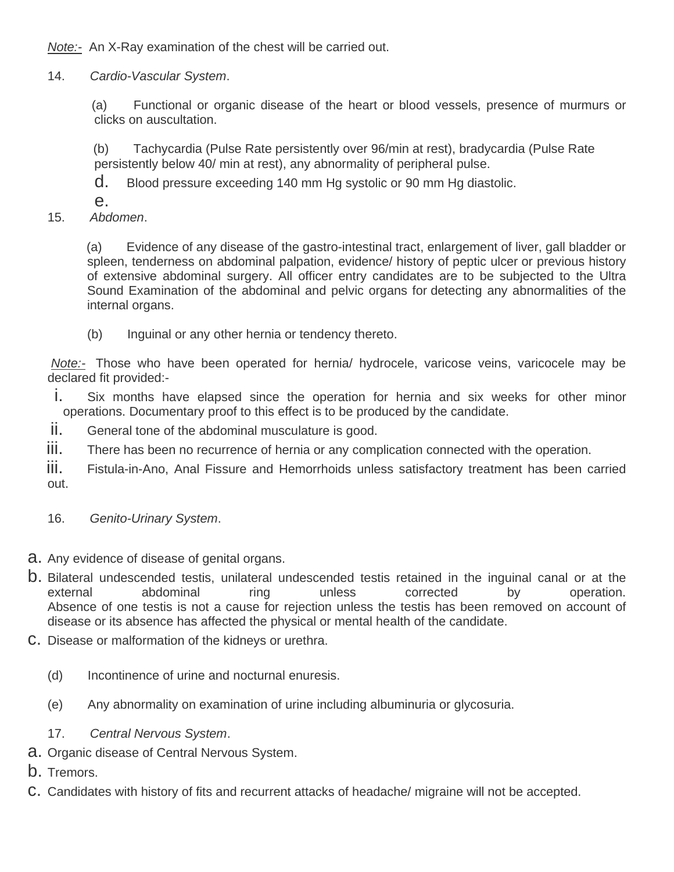*Note:-* An X-Ray examination of the chest will be carried out.

14. *Cardio-Vascular System*.

 (a) Functional or organic disease of the heart or blood vessels, presence of murmurs or clicks on auscultation.

 (b) Tachycardia (Pulse Rate persistently over 96/min at rest), bradycardia (Pulse Rate persistently below 40/ min at rest), any abnormality of peripheral pulse.

d. Blood pressure exceeding 140 mm Hg systolic or 90 mm Hg diastolic.

e.

15. *Abdomen*.

(a) Evidence of any disease of the gastro-intestinal tract, enlargement of liver, gall bladder or spleen, tenderness on abdominal palpation, evidence/ history of peptic ulcer or previous history of extensive abdominal surgery. All officer entry candidates are to be subjected to the Ultra Sound Examination of the abdominal and pelvic organs for detecting any abnormalities of the internal organs.

(b) Inguinal or any other hernia or tendency thereto.

*Note:-* Those who have been operated for hernia/ hydrocele, varicose veins, varicocele may be declared fit provided:-

- i. Six months have elapsed since the operation for hernia and six weeks for other minor operations. Documentary proof to this effect is to be produced by the candidate.
- ii. General tone of the abdominal musculature is good.
- iii. There has been no recurrence of hernia or any complication connected with the operation.

iii. Fistula-in-Ano, Anal Fissure and Hemorrhoids unless satisfactory treatment has been carried out.

- 16. *Genito-Urinary System*.
- a. Any evidence of disease of genital organs.
- b. Bilateral undescended testis, unilateral undescended testis retained in the inguinal canal or at the external abdominal ring unless corrected by operation. Absence of one testis is not a cause for rejection unless the testis has been removed on account of disease or its absence has affected the physical or mental health of the candidate.
- c. Disease or malformation of the kidneys or urethra.
	- (d) Incontinence of urine and nocturnal enuresis.
	- (e) Any abnormality on examination of urine including albuminuria or glycosuria.
	- 17. *Central Nervous System*.
- a. Organic disease of Central Nervous System.
- b. Tremors.
- c. Candidates with history of fits and recurrent attacks of headache/ migraine will not be accepted.